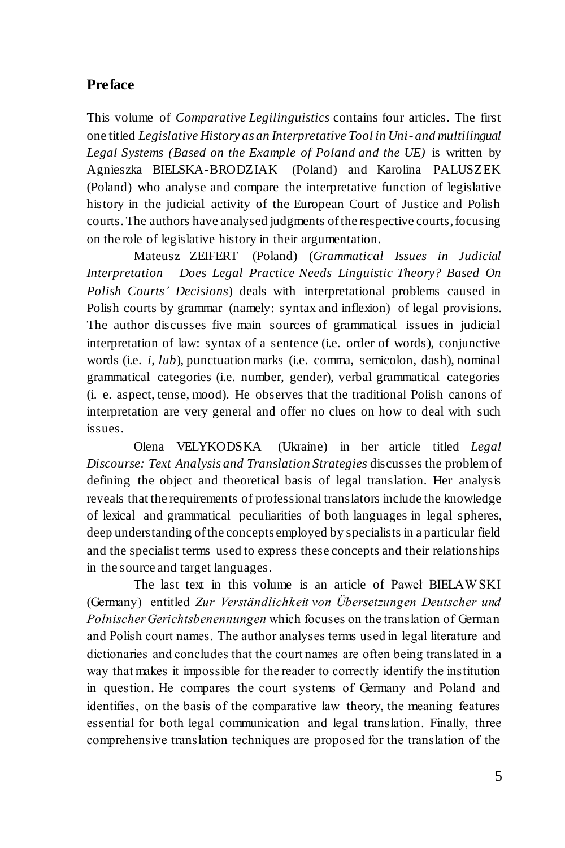## **Preface**

This volume of *Comparative Legilinguistics* contains four articles. The first one titled *Legislative History as an Interpretative Tool in Uni- and multilingual Legal Systems (Based on the Example of Poland and the UE)* is written by Agnieszka BIELSKA-BRODZIAK (Poland) and Karolina PALUSZEK (Poland) who analyse and compare the interpretative function of legislative history in the judicial activity of the European Court of Justice and Polish courts.The authors have analysed judgments of the respective courts, focusing on the role of legislative history in their argumentation.

Mateusz ZEIFERT (Poland) (*Grammatical Issues in Judicial Interpretation – Does Legal Practice Needs Linguistic Theory? Based On Polish Courts' Decisions*) deals with interpretational problems caused in Polish courts by grammar (namely: syntax and inflexion) of legal provisions. The author discusses five main sources of grammatical issues in judicial interpretation of law: syntax of a sentence (i.e. order of words), conjunctive words (i.e. *i*, *lub*), punctuation marks (i.e. comma, semicolon, dash), nominal grammatical categories (i.e. number, gender), verbal grammatical categories (i. e. aspect, tense, mood). He observes that the traditional Polish canons of interpretation are very general and offer no clues on how to deal with such issues.

Olena VELYKODSKA (Ukraine) in her article titled *Legal Discourse: Text Analysis and Translation Strategies* discusses the problem of defining the object and theoretical basis of legal translation. Her analysis reveals that the requirements of professional translators include the knowledge of lexical and grammatical peculiarities of both languages in legal spheres, deep understanding of the concepts employed by specialists in a particular field and the specialist terms used to express these concepts and their relationships in the source and target languages.

The last text in this volume is an article of Paweł BIELAW SKI (Germany) entitled *Zur Verständlichkeit von Übersetzungen Deutscher und Polnischer Gerichtsbenennungen* which focuses on the translation of German and Polish court names. The author analyses terms used in legal literature and dictionaries and concludes that the court names are often being translated in a way that makes it impossible for the reader to correctly identify the institution in question. He compares the court systems of Germany and Poland and identifies, on the basis of the comparative law theory, the meaning features essential for both legal communication and legal translation. Finally, three comprehensive translation techniques are proposed for the translation of the